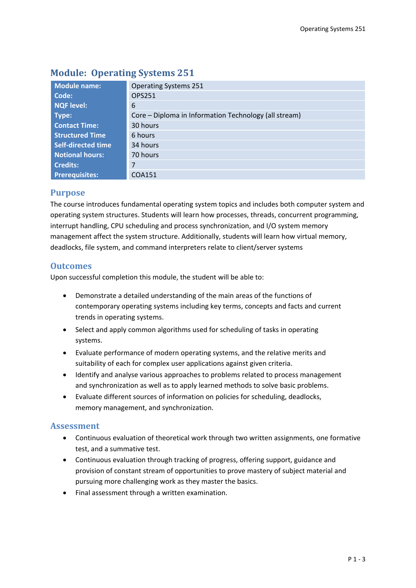| Module name:              | <b>Operating Systems 251</b>                          |  |  |  |
|---------------------------|-------------------------------------------------------|--|--|--|
| Code:                     | OPS251                                                |  |  |  |
| <b>NQF level:</b>         | 6                                                     |  |  |  |
| Type:                     | Core – Diploma in Information Technology (all stream) |  |  |  |
| <b>Contact Time:</b>      | 30 hours                                              |  |  |  |
| <b>Structured Time</b>    | 6 hours                                               |  |  |  |
| <b>Self-directed time</b> | 34 hours                                              |  |  |  |
| <b>Notional hours:</b>    | 70 hours                                              |  |  |  |
| <b>Credits:</b>           | 7                                                     |  |  |  |
| <b>Prerequisites:</b>     | COA151                                                |  |  |  |

# **Module: Operating Systems 251**

### **Purpose**

The course introduces fundamental operating system topics and includes both computer system and operating system structures. Students will learn how processes, threads, concurrent programming, interrupt handling, CPU scheduling and process synchronization, and I/O system memory management affect the system structure. Additionally, students will learn how virtual memory, deadlocks, file system, and command interpreters relate to client/server systems

### **Outcomes**

Upon successful completion this module, the student will be able to:

- Demonstrate a detailed understanding of the main areas of the functions of contemporary operating systems including key terms, concepts and facts and current trends in operating systems.
- Select and apply common algorithms used for scheduling of tasks in operating systems.
- Evaluate performance of modern operating systems, and the relative merits and suitability of each for complex user applications against given criteria.
- Identify and analyse various approaches to problems related to process management and synchronization as well as to apply learned methods to solve basic problems.
- Evaluate different sources of information on policies for scheduling, deadlocks, memory management, and synchronization.

### **Assessment**

- Continuous evaluation of theoretical work through two written assignments, one formative test, and a summative test.
- Continuous evaluation through tracking of progress, offering support, guidance and provision of constant stream of opportunities to prove mastery of subject material and pursuing more challenging work as they master the basics.
- Final assessment through a written examination.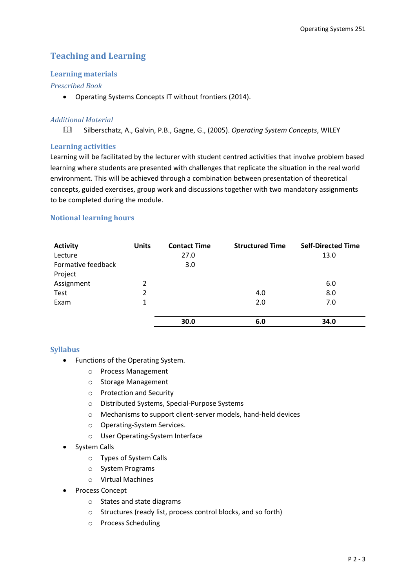## **Teaching and Learning**

#### **Learning materials**

#### *Prescribed Book*

Operating Systems Concepts IT without frontiers (2014).

#### *Additional Material*

Silberschatz, A., Galvin, P.B., Gagne, G., (2005). *Operating System Concepts*, WILEY

#### **Learning activities**

Learning will be facilitated by the lecturer with student centred activities that involve problem based learning where students are presented with challenges that replicate the situation in the real world environment. This will be achieved through a combination between presentation of theoretical concepts, guided exercises, group work and discussions together with two mandatory assignments to be completed during the module.

#### **Notional learning hours**

| <b>Activity</b>    | <b>Units</b> | <b>Contact Time</b> | <b>Structured Time</b> | <b>Self-Directed Time</b> |
|--------------------|--------------|---------------------|------------------------|---------------------------|
| Lecture            |              | 27.0                |                        | 13.0                      |
| Formative feedback |              | 3.0                 |                        |                           |
| Project            |              |                     |                        |                           |
| Assignment         | 2            |                     |                        | 6.0                       |
| Test               | 2            |                     | 4.0                    | 8.0                       |
| Exam               | $\mathbf{1}$ |                     | 2.0                    | 7.0                       |
|                    |              |                     |                        |                           |
|                    |              | 30.0                | 6.0                    | 34.0                      |

#### **Syllabus**

- Functions of the Operating System.
	- o Process Management
	- o Storage Management
	- o Protection and Security
	- o Distributed Systems, Special-Purpose Systems
	- o Mechanisms to support client-server models, hand-held devices
	- o Operating-System Services.
	- o User Operating-System Interface
- System Calls
	- o Types of System Calls
	- o System Programs
	- o Virtual Machines
- Process Concept
	- o States and state diagrams
	- o Structures (ready list, process control blocks, and so forth)
	- o Process Scheduling